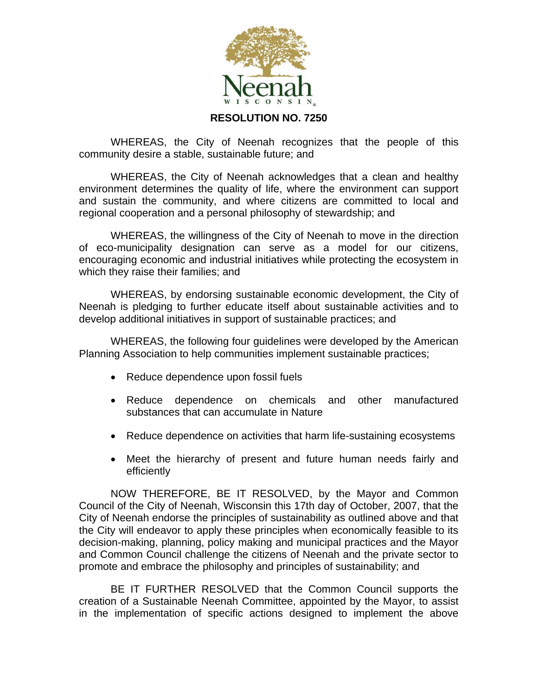

**RESOLUTION NO. 7250** 

WHEREAS, the City of Neenah recognizes that the people of this community desire a stable, sustainable future; and

WHEREAS, the City of Neenah acknowledges that a clean and healthy environment determines the quality of life, where the environment can support and sustain the community, and where citizens are committed to local and regional cooperation and a personal philosophy of stewardship; and

 WHEREAS, the willingness of the City of Neenah to move in the direction of eco-municipality designation can serve as a model for our citizens, encouraging economic and industrial initiatives while protecting the ecosystem in which they raise their families; and

 WHEREAS, by endorsing sustainable economic development, the City of Neenah is pledging to further educate itself about sustainable activities and to develop additional initiatives in support of sustainable practices; and

 WHEREAS, the following four guidelines were developed by the American Planning Association to help communities implement sustainable practices;

- Reduce dependence upon fossil fuels
- Reduce dependence on chemicals and other manufactured substances that can accumulate in Nature
- Reduce dependence on activities that harm life-sustaining ecosystems
- Meet the hierarchy of present and future human needs fairly and efficiently

 NOW THEREFORE, BE IT RESOLVED, by the Mayor and Common Council of the City of Neenah, Wisconsin this 17th day of October, 2007, that the City of Neenah endorse the principles of sustainability as outlined above and that the City will endeavor to apply these principles when economically feasible to its decision-making, planning, policy making and municipal practices and the Mayor and Common Council challenge the citizens of Neenah and the private sector to promote and embrace the philosophy and principles of sustainability; and

 BE IT FURTHER RESOLVED that the Common Council supports the creation of a Sustainable Neenah Committee, appointed by the Mayor, to assist in the implementation of specific actions designed to implement the above